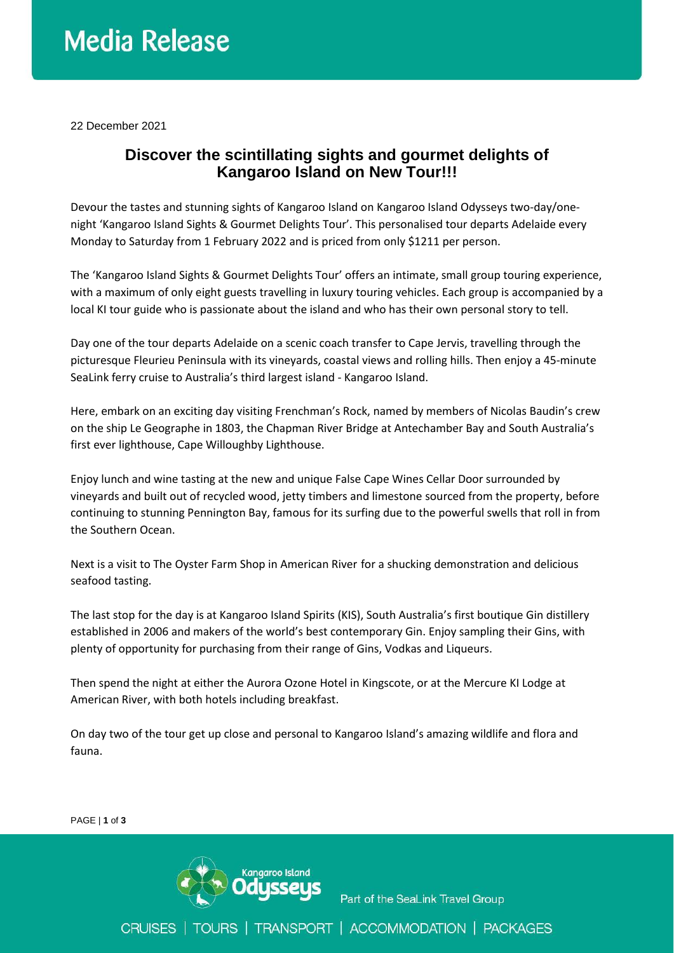## **Media Release**

22 December 2021

### **Discover the scintillating sights and gourmet delights of Kangaroo Island on New Tour!!!**

Devour the tastes and stunning sights of Kangaroo Island on Kangaroo Island Odysseys two-day/onenight 'Kangaroo Island Sights & Gourmet Delights Tour'. This personalised tour departs Adelaide every Monday to Saturday from 1 February 2022 and is priced from only \$1211 per person.

The 'Kangaroo Island Sights & Gourmet Delights Tour' offers an intimate, small group touring experience, with a maximum of only eight guests travelling in luxury touring vehicles. Each group is accompanied by a local KI tour guide who is passionate about the island and who has their own personal story to tell.

Day one of the tour departs Adelaide on a scenic coach transfer to Cape Jervis, travelling through the picturesque Fleurieu Peninsula with its vineyards, coastal views and rolling hills. Then enjoy a 45-minute SeaLink ferry cruise to Australia's third largest island - Kangaroo Island.

Here, embark on an exciting day visiting Frenchman's Rock, named by members of Nicolas Baudin's crew on the ship Le Geographe in 1803, the Chapman River Bridge at Antechamber Bay and South Australia's first ever lighthouse, Cape Willoughby Lighthouse.

Enjoy lunch and wine tasting at the new and unique False Cape Wines Cellar Door surrounded by vineyards and built out of recycled wood, jetty timbers and limestone sourced from the property, before continuing to stunning Pennington Bay, famous for its surfing due to the powerful swells that roll in from the Southern Ocean.

Next is a visit to The Oyster Farm Shop in American River for a shucking demonstration and delicious seafood tasting.

The last stop for the day is at Kangaroo Island Spirits (KIS), South Australia's first boutique Gin distillery established in 2006 and makers of the world's best contemporary Gin. Enjoy sampling their Gins, with plenty of opportunity for purchasing from their range of Gins, Vodkas and Liqueurs.

Then spend the night at either the Aurora Ozone Hotel in Kingscote, or at the Mercure KI Lodge at American River, with both hotels including breakfast.

On day two of the tour get up close and personal to Kangaroo Island's amazing wildlife and flora and fauna.

PAGE | **1** of **3**



Part of the SeaLink Travel Group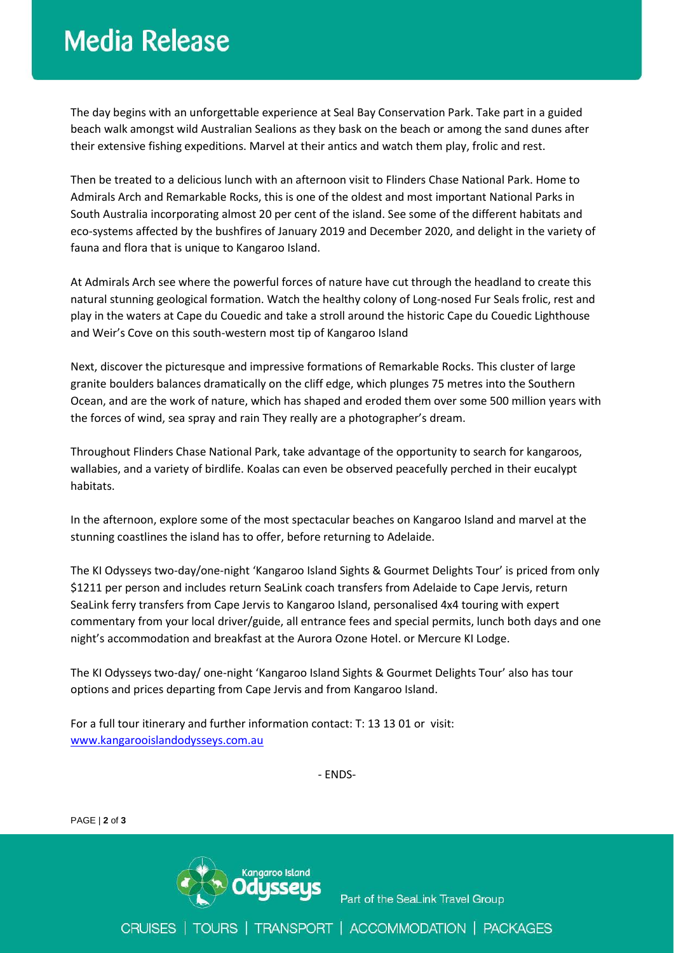### **Media Release**

The day begins with an unforgettable experience at Seal Bay Conservation Park. Take part in a guided beach walk amongst wild Australian Sealions as they bask on the beach or among the sand dunes after their extensive fishing expeditions. Marvel at their antics and watch them play, frolic and rest.

Then be treated to a delicious lunch with an afternoon visit to Flinders Chase National Park. Home to Admirals Arch and Remarkable Rocks, this is one of the oldest and most important National Parks in South Australia incorporating almost 20 per cent of the island. See some of the different habitats and eco-systems affected by the bushfires of January 2019 and December 2020, and delight in the variety of fauna and flora that is unique to Kangaroo Island.

At Admirals Arch see where the powerful forces of nature have cut through the headland to create this natural stunning geological formation. Watch the healthy colony of Long-nosed Fur Seals frolic, rest and play in the waters at Cape du Couedic and take a stroll around the historic Cape du Couedic Lighthouse and Weir's Cove on this south-western most tip of Kangaroo Island

Next, discover the picturesque and impressive formations of Remarkable Rocks. This cluster of large granite boulders balances dramatically on the cliff edge, which plunges 75 metres into the Southern Ocean, and are the work of nature, which has shaped and eroded them over some 500 million years with the forces of wind, sea spray and rain They really are a photographer's dream.

Throughout Flinders Chase National Park, take advantage of the opportunity to search for kangaroos, wallabies, and a variety of birdlife. Koalas can even be observed peacefully perched in their eucalypt habitats.

In the afternoon, explore some of the most spectacular beaches on Kangaroo Island and marvel at the stunning coastlines the island has to offer, before returning to Adelaide.

The KI Odysseys two-day/one-night 'Kangaroo Island Sights & Gourmet Delights Tour' is priced from only \$1211 per person and includes return SeaLink coach transfers from Adelaide to Cape Jervis, return SeaLink ferry transfers from Cape Jervis to Kangaroo Island, personalised 4x4 touring with expert commentary from your local driver/guide, all entrance fees and special permits, lunch both days and one night's accommodation and breakfast at the Aurora Ozone Hotel. or Mercure KI Lodge.

The KI Odysseys two-day/ one-night 'Kangaroo Island Sights & Gourmet Delights Tour' also has tour options and prices departing from Cape Jervis and from Kangaroo Island.

For a full tour itinerary and further information contact: T: 13 13 01 or visit: [www.kangarooislandodysseys.com.au](http://www.kangarooislandodysseys.com.au/)

- ENDS-

PAGE | **2** of **3**



Part of the SeaLink Travel Group